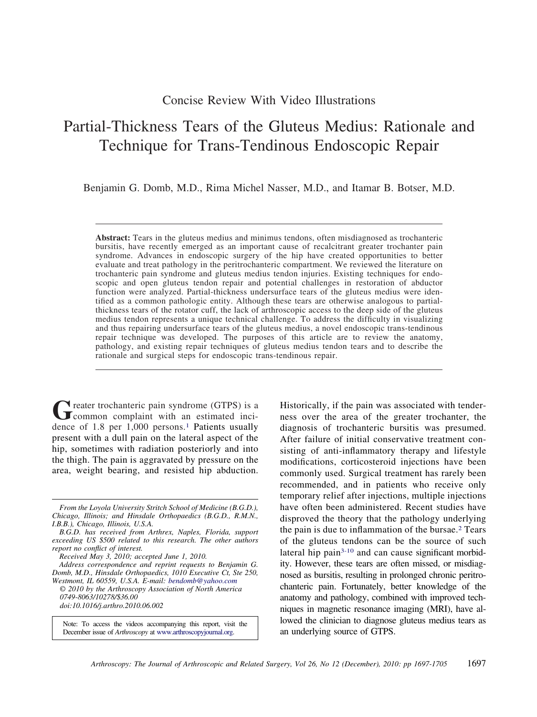## Concise Review With Video Illustrations

# Partial-Thickness Tears of the Gluteus Medius: Rationale and Technique for Trans-Tendinous Endoscopic Repair

Benjamin G. Domb, M.D., Rima Michel Nasser, M.D., and Itamar B. Botser, M.D.

**Abstract:** Tears in the gluteus medius and minimus tendons, often misdiagnosed as trochanteric bursitis, have recently emerged as an important cause of recalcitrant greater trochanter pain syndrome. Advances in endoscopic surgery of the hip have created opportunities to better evaluate and treat pathology in the peritrochanteric compartment. We reviewed the literature on trochanteric pain syndrome and gluteus medius tendon injuries. Existing techniques for endoscopic and open gluteus tendon repair and potential challenges in restoration of abductor function were analyzed. Partial-thickness undersurface tears of the gluteus medius were identified as a common pathologic entity. Although these tears are otherwise analogous to partialthickness tears of the rotator cuff, the lack of arthroscopic access to the deep side of the gluteus medius tendon represents a unique technical challenge. To address the difficulty in visualizing and thus repairing undersurface tears of the gluteus medius, a novel endoscopic trans-tendinous repair technique was developed. The purposes of this article are to review the anatomy, pathology, and existing repair techniques of gluteus medius tendon tears and to describe the rationale and surgical steps for endoscopic trans-tendinous repair.

Greater trochanteric pain syndrome (GTPS) is a common complaint with an estimated incidence of  $1.8$  per  $1,000$  persons.<sup>1</sup> Patients usually present with a dull pain on the lateral aspect of the hip, sometimes with radiation posteriorly and into the thigh. The pain is aggravated by pressure on the area, weight bearing, and resisted hip abduction.

Note: To access the videos accompanying this report, visit the December issue of *Arthroscopy* at [www.arthroscopyjournal.org.](http://www.arthroscopyjournal.org)

Historically, if the pain was associated with tenderness over the area of the greater trochanter, the diagnosis of trochanteric bursitis was presumed. After failure of initial conservative treatment consisting of anti-inflammatory therapy and lifestyle modifications, corticosteroid injections have been commonly used. Surgical treatment has rarely been recommended, and in patients who receive only temporary relief after injections, multiple injections have often been administered. Recent studies have disproved the theory that the pathology underlying the pain is due to inflammation of the bursae[.2](#page-7-0) Tears of the gluteus tendons can be the source of such lateral hip pain<sup>3-10</sup> and can cause significant morbidity. However, these tears are often missed, or misdiagnosed as bursitis, resulting in prolonged chronic peritrochanteric pain. Fortunately, better knowledge of the anatomy and pathology, combined with improved techniques in magnetic resonance imaging (MRI), have allowed the clinician to diagnose gluteus medius tears as an underlying source of GTPS.

*From the Loyola University Stritch School of Medicine (B.G.D.), Chicago, Illinois; and Hinsdale Orthopaedics (B.G.D., R.M.N., I.B.B.), Chicago, Illinois, U.S.A.*

*B.G.D. has received from Arthrex, Naples, Florida, support exceeding US \$500 related to this research. The other authors report no conflict of interest.*

*Received May 3, 2010; accepted June 1, 2010.*

*Address correspondence and reprint requests to Benjamin G. Domb, M.D., Hinsdale Orthopaedics, 1010 Executive Ct, Ste 250, Westmont, IL 60559, U.S.A. E-mail: [bendomb@yahoo.com](mailto:bendomb@yahoo.com)*

*<sup>© 2010</sup> by the Arthroscopy Association of North America 0749-8063/10278/\$36.00 doi:10.1016/j.arthro.2010.06.002*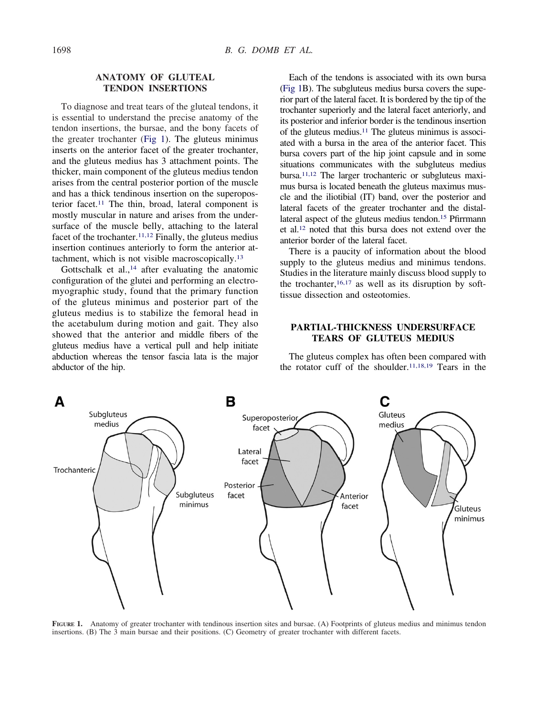## **ANATOMY OF GLUTEAL TENDON INSERTIONS**

To diagnose and treat tears of the gluteal tendons, it is essential to understand the precise anatomy of the tendon insertions, the bursae, and the bony facets of the greater trochanter (Fig 1). The gluteus minimus inserts on the anterior facet of the greater trochanter, and the gluteus medius has 3 attachment points. The thicker, main component of the gluteus medius tendon arises from the central posterior portion of the muscle and has a thick tendinous insertion on the superoposterior facet[.11](#page-7-0) The thin, broad, lateral component is mostly muscular in nature and arises from the undersurface of the muscle belly, attaching to the lateral facet of the trochanter.<sup>11,12</sup> Finally, the gluteus medius insertion continues anteriorly to form the anterior attachment, which is not visible macroscopically[.13](#page-7-0)

Gottschalk et al., $<sup>14</sup>$  after evaluating the anatomic</sup> configuration of the glutei and performing an electromyographic study, found that the primary function of the gluteus minimus and posterior part of the gluteus medius is to stabilize the femoral head in the acetabulum during motion and gait. They also showed that the anterior and middle fibers of the gluteus medius have a vertical pull and help initiate abduction whereas the tensor fascia lata is the major abductor of the hip.

Each of the tendons is associated with its own bursa (Fig 1B). The subgluteus medius bursa covers the superior part of the lateral facet. It is bordered by the tip of the trochanter superiorly and the lateral facet anteriorly, and its posterior and inferior border is the tendinous insertion of the gluteus medius.<sup>11</sup> The gluteus minimus is associated with a bursa in the area of the anterior facet. This bursa covers part of the hip joint capsule and in some situations communicates with the subgluteus medius bursa[.11,12](#page-7-0) The larger trochanteric or subgluteus maximus bursa is located beneath the gluteus maximus muscle and the iliotibial (IT) band, over the posterior and lateral facets of the greater trochanter and the distallateral aspect of the gluteus medius tendon.<sup>15</sup> Pfirrmann et al[.12](#page-7-0) noted that this bursa does not extend over the anterior border of the lateral facet.

There is a paucity of information about the blood supply to the gluteus medius and minimus tendons. Studies in the literature mainly discuss blood supply to the trochanter,  $16,17$  as well as its disruption by softtissue dissection and osteotomies.

## **PARTIAL-THICKNESS UNDERSURFACE TEARS OF GLUTEUS MEDIUS**

The gluteus complex has often been compared with the rotator cuff of the shoulder. $11,18,19$  Tears in the



**FIGURE 1.** Anatomy of greater trochanter with tendinous insertion sites and bursae. (A) Footprints of gluteus medius and minimus tendon insertions. (B) The 3 main bursae and their positions. (C) Geometry of greater trochanter with different facets.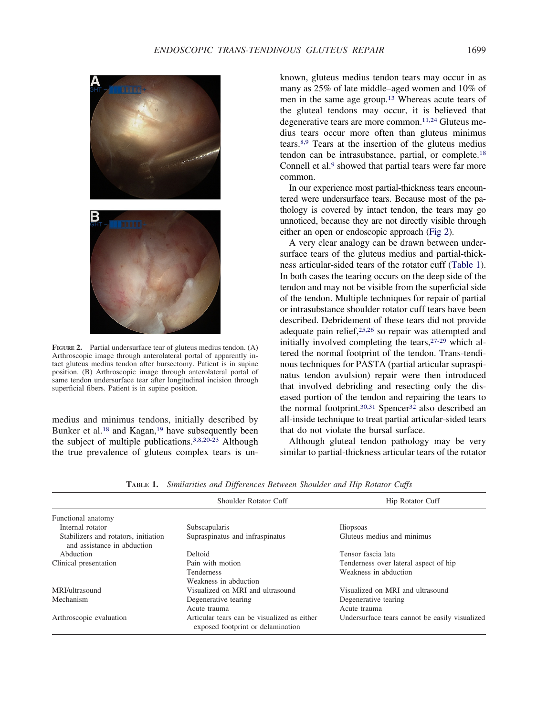<span id="page-2-0"></span>

**FIGURE 2.** Partial undersurface tear of gluteus medius tendon. (A) Arthroscopic image through anterolateral portal of apparently intact gluteus medius tendon after bursectomy. Patient is in supine position. (B) Arthroscopic image through anterolateral portal of same tendon undersurface tear after longitudinal incision through superficial fibers. Patient is in supine position.

medius and minimus tendons, initially described by Bunker et al.<sup>18</sup> and Kagan,<sup>19</sup> have subsequently been the subject of multiple publications[.3,8,20-23](#page-7-0) Although the true prevalence of gluteus complex tears is unknown, gluteus medius tendon tears may occur in as many as 25% of late middle–aged women and 10% of men in the same age group[.13](#page-7-0) Whereas acute tears of the gluteal tendons may occur, it is believed that degenerative tears are more common.<sup>11,24</sup> Gluteus medius tears occur more often than gluteus minimus tears[.8,9](#page-7-0) Tears at the insertion of the gluteus medius tendon can be intrasubstance, partial, or complete[.18](#page-7-0) Connell et al.<sup>9</sup> showed that partial tears were far more common.

In our experience most partial-thickness tears encountered were undersurface tears. Because most of the pathology is covered by intact tendon, the tears may go unnoticed, because they are not directly visible through either an open or endoscopic approach (Fig 2).

A very clear analogy can be drawn between undersurface tears of the gluteus medius and partial-thickness articular-sided tears of the rotator cuff (Table 1). In both cases the tearing occurs on the deep side of the tendon and may not be visible from the superficial side of the tendon. Multiple techniques for repair of partial or intrasubstance shoulder rotator cuff tears have been described. Debridement of these tears did not provide adequate pain relief, $25,26$  so repair was attempted and initially involved completing the tears[,27-29](#page-7-0) which altered the normal footprint of the tendon. Trans-tendinous techniques for PASTA (partial articular supraspinatus tendon avulsion) repair were then introduced that involved debriding and resecting only the diseased portion of the tendon and repairing the tears to the normal footprint.<sup>30,31</sup> Spencer<sup>32</sup> also described an all-inside technique to treat partial articular-sided tears that do not violate the bursal surface.

Although gluteal tendon pathology may be very similar to partial-thickness articular tears of the rotator

|                                                                     | Shoulder Rotator Cuff                                                            | Hip Rotator Cuff                               |
|---------------------------------------------------------------------|----------------------------------------------------------------------------------|------------------------------------------------|
| Functional anatomy                                                  |                                                                                  |                                                |
| Internal rotator                                                    | Subscapularis                                                                    | <i><u>Iliopsoas</u></i>                        |
| Stabilizers and rotators, initiation<br>and assistance in abduction | Supraspinatus and infraspinatus                                                  | Gluteus medius and minimus                     |
| Abduction                                                           | Deltoid                                                                          | Tensor fascia lata                             |
| Clinical presentation                                               | Pain with motion                                                                 | Tenderness over lateral aspect of hip          |
|                                                                     | <b>Tenderness</b>                                                                | Weakness in abduction                          |
|                                                                     | Weakness in abduction                                                            |                                                |
| MRI/ultrasound                                                      | Visualized on MRI and ultrasound                                                 | Visualized on MRI and ultrasound               |
| Mechanism                                                           | Degenerative tearing                                                             | Degenerative tearing                           |
|                                                                     | Acute trauma                                                                     | Acute trauma                                   |
| Arthroscopic evaluation                                             | Articular tears can be visualized as either<br>exposed footprint or delamination | Undersurface tears cannot be easily visualized |

**TABLE 1.** *Similarities and Differences Between Shoulder and Hip Rotator Cuffs*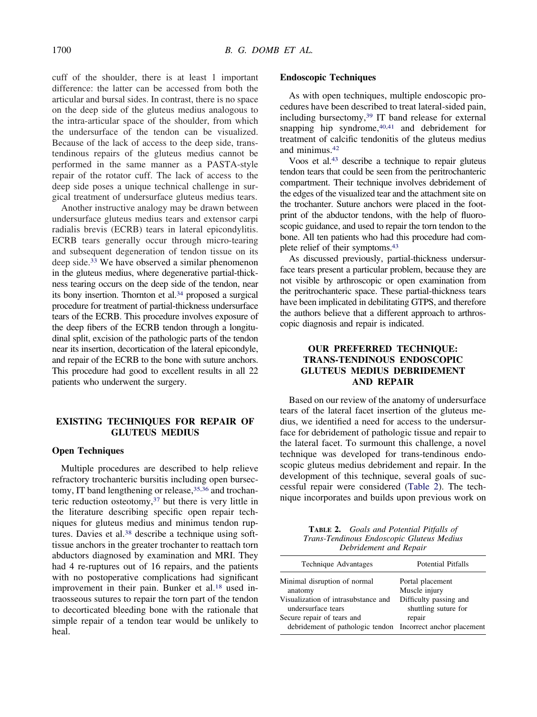cuff of the shoulder, there is at least 1 important difference: the latter can be accessed from both the articular and bursal sides. In contrast, there is no space on the deep side of the gluteus medius analogous to the intra-articular space of the shoulder, from which the undersurface of the tendon can be visualized. Because of the lack of access to the deep side, transtendinous repairs of the gluteus medius cannot be performed in the same manner as a PASTA-style repair of the rotator cuff. The lack of access to the deep side poses a unique technical challenge in surgical treatment of undersurface gluteus medius tears.

Another instructive analogy may be drawn between undersurface gluteus medius tears and extensor carpi radialis brevis (ECRB) tears in lateral epicondylitis. ECRB tears generally occur through micro-tearing and subsequent degeneration of tendon tissue on its deep side[.33](#page-7-0) We have observed a similar phenomenon in the gluteus medius, where degenerative partial-thickness tearing occurs on the deep side of the tendon, near its bony insertion. Thornton et al[.34](#page-7-0) proposed a surgical procedure for treatment of partial-thickness undersurface tears of the ECRB. This procedure involves exposure of the deep fibers of the ECRB tendon through a longitudinal split, excision of the pathologic parts of the tendon near its insertion, decortication of the lateral epicondyle, and repair of the ECRB to the bone with suture anchors. This procedure had good to excellent results in all 22 patients who underwent the surgery.

## **EXISTING TECHNIQUES FOR REPAIR OF GLUTEUS MEDIUS**

## **Open Techniques**

Multiple procedures are described to help relieve refractory trochanteric bursitis including open bursectomy, IT band lengthening or release,<sup>35,36</sup> and trochanteric reduction osteotomy[,37](#page-7-0) but there is very little in the literature describing specific open repair techniques for gluteus medius and minimus tendon ruptures. Davies et al.<sup>38</sup> describe a technique using softtissue anchors in the greater trochanter to reattach torn abductors diagnosed by examination and MRI. They had 4 re-ruptures out of 16 repairs, and the patients with no postoperative complications had significant improvement in their pain. Bunker et al.<sup>18</sup> used intraosseous sutures to repair the torn part of the tendon to decorticated bleeding bone with the rationale that simple repair of a tendon tear would be unlikely to heal.

#### **Endoscopic Techniques**

As with open techniques, multiple endoscopic procedures have been described to treat lateral-sided pain, including bursectomy[,39](#page-7-0) IT band release for external snapping hip syndrome, $40,41$  and debridement for treatment of calcific tendonitis of the gluteus medius and minimus[.42](#page-7-0)

Voos et al[.43](#page-7-0) describe a technique to repair gluteus tendon tears that could be seen from the peritrochanteric compartment. Their technique involves debridement of the edges of the visualized tear and the attachment site on the trochanter. Suture anchors were placed in the footprint of the abductor tendons, with the help of fluoroscopic guidance, and used to repair the torn tendon to the bone. All ten patients who had this procedure had complete relief of their symptoms[.43](#page-7-0)

As discussed previously, partial-thickness undersurface tears present a particular problem, because they are not visible by arthroscopic or open examination from the peritrochanteric space. These partial-thickness tears have been implicated in debilitating GTPS, and therefore the authors believe that a different approach to arthroscopic diagnosis and repair is indicated.

## **OUR PREFERRED TECHNIQUE: TRANS-TENDINOUS ENDOSCOPIC GLUTEUS MEDIUS DEBRIDEMENT AND REPAIR**

Based on our review of the anatomy of undersurface tears of the lateral facet insertion of the gluteus medius, we identified a need for access to the undersurface for debridement of pathologic tissue and repair to the lateral facet. To surmount this challenge, a novel technique was developed for trans-tendinous endoscopic gluteus medius debridement and repair. In the development of this technique, several goals of successful repair were considered (Table 2). The technique incorporates and builds upon previous work on

**TABLE 2.** *Goals and Potential Pitfalls of Trans-Tendinous Endoscopic Gluteus Medius Debridement and Repair*

| Technique Advantages                                        | <b>Potential Pitfalls</b> |
|-------------------------------------------------------------|---------------------------|
| Minimal disruption of normal                                | Portal placement          |
| anatomy                                                     | Muscle injury             |
| Visualization of intrasubstance and                         | Difficulty passing and    |
| undersurface tears                                          | shuttling suture for      |
| Secure repair of tears and                                  | repair                    |
| debridement of pathologic tendon Incorrect anchor placement |                           |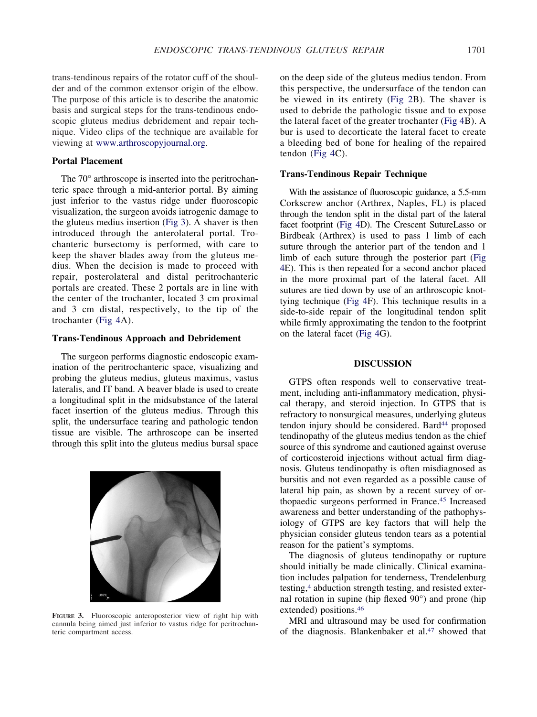trans-tendinous repairs of the rotator cuff of the shoulder and of the common extensor origin of the elbow. The purpose of this article is to describe the anatomic basis and surgical steps for the trans-tendinous endoscopic gluteus medius debridement and repair technique. Video clips of the technique are available for viewing at [www.arthroscopyjournal.org.](http://www.arthroscopyjournal.org)

#### **Portal Placement**

The 70° arthroscope is inserted into the peritrochanteric space through a mid-anterior portal. By aiming just inferior to the vastus ridge under fluoroscopic visualization, the surgeon avoids iatrogenic damage to the gluteus medius insertion (Fig 3). A shaver is then introduced through the anterolateral portal. Trochanteric bursectomy is performed, with care to keep the shaver blades away from the gluteus medius. When the decision is made to proceed with repair, posterolateral and distal peritrochanteric portals are created. These 2 portals are in line with the center of the trochanter, located 3 cm proximal and 3 cm distal, respectively, to the tip of the trochanter [\(Fig 4A](#page-5-0)).

### **Trans-Tendinous Approach and Debridement**

The surgeon performs diagnostic endoscopic examination of the peritrochanteric space, visualizing and probing the gluteus medius, gluteus maximus, vastus lateralis, and IT band. A beaver blade is used to create a longitudinal split in the midsubstance of the lateral facet insertion of the gluteus medius. Through this split, the undersurface tearing and pathologic tendon tissue are visible. The arthroscope can be inserted through this split into the gluteus medius bursal space



**FIGURE 3.** Fluoroscopic anteroposterior view of right hip with cannula being aimed just inferior to vastus ridge for peritrochanteric compartment access.

on the deep side of the gluteus medius tendon. From this perspective, the undersurface of the tendon can be viewed in its entirety [\(Fig 2B](#page-2-0)). The shaver is used to debride the pathologic tissue and to expose the lateral facet of the greater trochanter [\(Fig 4B](#page-5-0)). A bur is used to decorticate the lateral facet to create a bleeding bed of bone for healing of the repaired tendon [\(Fig 4C](#page-5-0)).

#### **Trans-Tendinous Repair Technique**

With the assistance of fluoroscopic guidance, a 5.5-mm Corkscrew anchor (Arthrex, Naples, FL) is placed through the tendon split in the distal part of the lateral facet footprint [\(Fig 4D](#page-5-0)). The Crescent SutureLasso or Birdbeak (Arthrex) is used to pass 1 limb of each suture through the anterior part of the tendon and 1 limb of each suture through the posterior part [\(Fig](#page-5-0) [4E](#page-5-0)). This is then repeated for a second anchor placed in the more proximal part of the lateral facet. All sutures are tied down by use of an arthroscopic knottying technique [\(Fig 4F](#page-5-0)). This technique results in a side-to-side repair of the longitudinal tendon split while firmly approximating the tendon to the footprint on the lateral facet [\(Fig 4G](#page-5-0)).

#### **DISCUSSION**

GTPS often responds well to conservative treatment, including anti-inflammatory medication, physical therapy, and steroid injection. In GTPS that is refractory to nonsurgical measures, underlying gluteus tendon injury should be considered. Bard<sup>44</sup> proposed tendinopathy of the gluteus medius tendon as the chief source of this syndrome and cautioned against overuse of corticosteroid injections without actual firm diagnosis. Gluteus tendinopathy is often misdiagnosed as bursitis and not even regarded as a possible cause of lateral hip pain, as shown by a recent survey of orthopaedic surgeons performed in France[.45](#page-8-0) Increased awareness and better understanding of the pathophysiology of GTPS are key factors that will help the physician consider gluteus tendon tears as a potential reason for the patient's symptoms.

The diagnosis of gluteus tendinopathy or rupture should initially be made clinically. Clinical examination includes palpation for tenderness, Trendelenburg testing,<sup>4</sup> abduction strength testing, and resisted external rotation in supine (hip flexed 90°) and prone (hip extended) positions[.46](#page-8-0)

MRI and ultrasound may be used for confirmation of the diagnosis. Blankenbaker et al.<sup>47</sup> showed that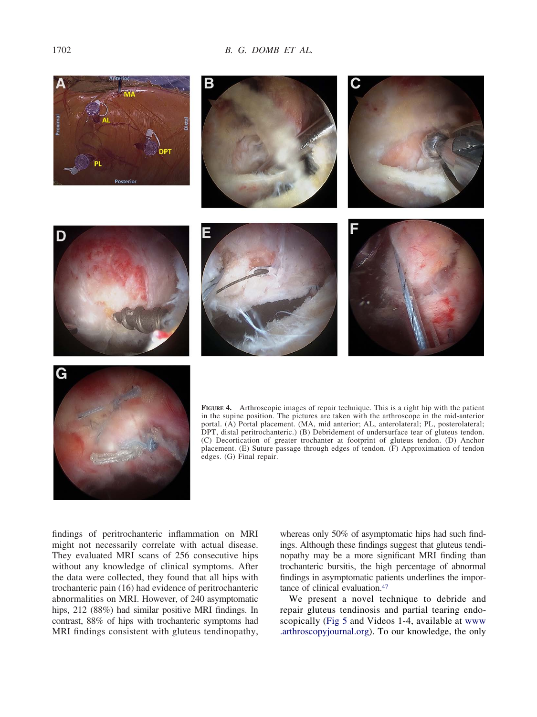<span id="page-5-0"></span>



**FIGURE 4.** Arthroscopic images of repair technique. This is a right hip with the patient in the supine position. The pictures are taken with the arthroscope in the mid-anterior portal. (A) Portal placement. (MA, mid anterior; AL, anterolateral; PL, posterolateral; DPT, distal peritrochanteric.) (B) Debridement of undersurface tear of gluteus tendon. (C) Decortication of greater trochanter at footprint of gluteus tendon. (D) Anchor placement. (E) Suture passage through edges of tendon. (F) Approximation of tendon edges. (G) Final repair.

findings of peritrochanteric inflammation on MRI might not necessarily correlate with actual disease. They evaluated MRI scans of 256 consecutive hips without any knowledge of clinical symptoms. After the data were collected, they found that all hips with trochanteric pain (16) had evidence of peritrochanteric abnormalities on MRI. However, of 240 asymptomatic hips, 212 (88%) had similar positive MRI findings. In contrast, 88% of hips with trochanteric symptoms had MRI findings consistent with gluteus tendinopathy, whereas only 50% of asymptomatic hips had such findings. Although these findings suggest that gluteus tendinopathy may be a more significant MRI finding than trochanteric bursitis, the high percentage of abnormal findings in asymptomatic patients underlines the importance of clinical evaluation[.47](#page-8-0)

We present a novel technique to debride and repair gluteus tendinosis and partial tearing endoscopically [\(Fig 5](#page-6-0) and Videos 1-4, available at [www](http://www.arthroscopyjournal.org) [.arthroscopyjournal.org\)](http://www.arthroscopyjournal.org). To our knowledge, the only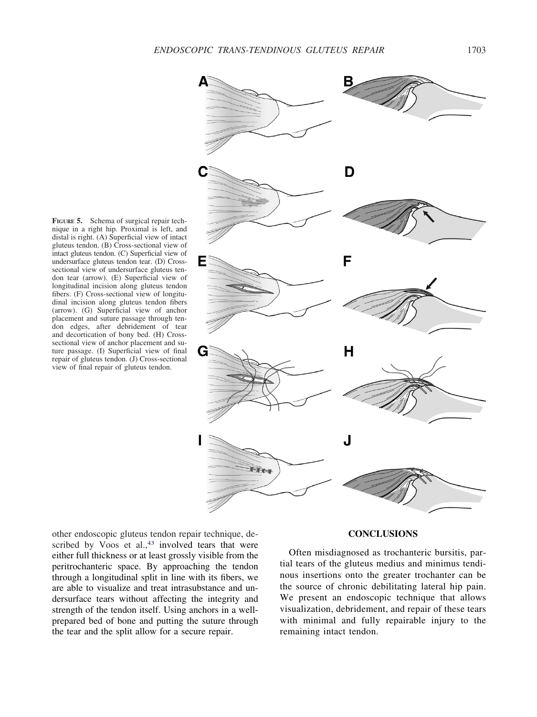nique in a right hip. Proximal is left, and distal is right. (A) Superficial view of intact gluteus tendon. (B) Cross-sectional view of intact gluteus tendon. (C) Superficial view of undersurface gluteus tendon tear. (D) Crosssectional view of undersurface gluteus tendon tear (arrow). (E) Superficial view of longitudinal incision along gluteus tendon fibers. (F) Cross-sectional view of longitudinal incision along gluteus tendon fibers (arrow). (G) Superficial view of anchor placement and suture passage through tendon edges, after debridement of tear and decortication of bony bed. (H) Crosssectional view of anchor placement and suture passage. (I) Superficial view of final repair of gluteus tendon. (J) Cross-sectional view of final repair of gluteus tendon.

**FIGURE 5.** Schema of surgical repair tech-

<span id="page-6-0"></span>

other endoscopic gluteus tendon repair technique, described by Voos et al.,<sup>43</sup> involved tears that were either full thickness or at least grossly visible from the peritrochanteric space. By approaching the tendon through a longitudinal split in line with its fibers, we are able to visualize and treat intrasubstance and undersurface tears without affecting the integrity and strength of the tendon itself. Using anchors in a wellprepared bed of bone and putting the suture through the tear and the split allow for a secure repair.

#### **CONCLUSIONS**

Often misdiagnosed as trochanteric bursitis, partial tears of the gluteus medius and minimus tendinous insertions onto the greater trochanter can be the source of chronic debilitating lateral hip pain. We present an endoscopic technique that allows visualization, debridement, and repair of these tears with minimal and fully repairable injury to the remaining intact tendon.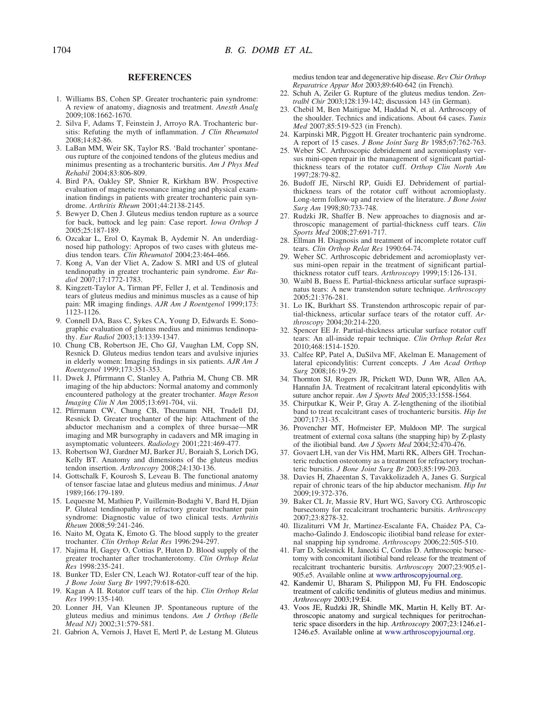#### **REFERENCES**

- <span id="page-7-0"></span>1. Williams BS, Cohen SP. Greater trochanteric pain syndrome: A review of anatomy, diagnosis and treatment. *Anesth Analg* 2009;108:1662-1670.
- 2. Silva F, Adams T, Feinstein J, Arroyo RA. Trochanteric bursitis: Refuting the myth of inflammation. *J Clin Rheumatol* 2008;14:82-86.
- 3. LaBan MM, Weir SK, Taylor RS. 'Bald trochanter' spontaneous rupture of the conjoined tendons of the gluteus medius and minimus presenting as a trochanteric bursitis. *Am J Phys Med Rehabil* 2004;83:806-809.
- 4. Bird PA, Oakley SP, Shnier R, Kirkham BW. Prospective evaluation of magnetic resonance imaging and physical examination findings in patients with greater trochanteric pain syndrome. *Arthritis Rheum* 2001;44:2138-2145.
- 5. Bewyer D, Chen J. Gluteus medius tendon rupture as a source for back, buttock and leg pain: Case report. *Iowa Orthop J* 2005;25:187-189.
- 6. Ozcakar L, Erol O, Kaymak B, Aydemir N. An underdiagnosed hip pathology: Apropos of two cases with gluteus medius tendon tears. *Clin Rheumatol* 2004;23:464-466.
- 7. Kong A, Van der Vliet A, Zadow S. MRI and US of gluteal tendinopathy in greater trochanteric pain syndrome. *Eur Radiol* 2007;17:1772-1783.
- 8. Kingzett-Taylor A, Tirman PF, Feller J, et al. Tendinosis and tears of gluteus medius and minimus muscles as a cause of hip pain: MR imaging findings. *AJR Am J Roentgenol* 1999;173: 1123-1126.
- 9. Connell DA, Bass C, Sykes CA, Young D, Edwards E. Sonographic evaluation of gluteus medius and minimus tendinopathy. *Eur Radiol* 2003;13:1339-1347.
- 10. Chung CB, Robertson JE, Cho GJ, Vaughan LM, Copp SN, Resnick D. Gluteus medius tendon tears and avulsive injuries in elderly women: Imaging findings in six patients. *AJR Am J Roentgenol* 1999;173:351-353.
- 11. Dwek J, Pfirrmann C, Stanley A, Pathria M, Chung CB. MR imaging of the hip abductors: Normal anatomy and commonly encountered pathology at the greater trochanter. *Magn Reson Imaging Clin N Am* 2005;13:691-704, vii.
- 12. Pfirrmann CW, Chung CB, Theumann NH, Trudell DJ, Resnick D. Greater trochanter of the hip: Attachment of the abductor mechanism and a complex of three bursae—MR imaging and MR bursography in cadavers and MR imaging in asymptomatic volunteers. *Radiology* 2001;221:469-477.
- 13. Robertson WJ, Gardner MJ, Barker JU, Boraiah S, Lorich DG, Kelly BT. Anatomy and dimensions of the gluteus medius tendon insertion. *Arthroscopy* 2008;24:130-136.
- 14. Gottschalk F, Kourosh S, Leveau B. The functional anatomy of tensor fasciae latae and gluteus medius and minimus. *J Anat* 1989;166:179-189.
- 15. Lequesne M, Mathieu P, Vuillemin-Bodaghi V, Bard H, Djian P. Gluteal tendinopathy in refractory greater trochanter pain syndrome: Diagnostic value of two clinical tests. *Arthritis Rheum* 2008;59:241-246.
- 16. Naito M, Ogata K, Emoto G. The blood supply to the greater trochanter. *Clin Orthop Relat Res* 1996:294-297.
- 17. Najima H, Gagey O, Cottias P, Huten D. Blood supply of the greater trochanter after trochanterotomy. *Clin Orthop Relat Res* 1998:235-241.
- 18. Bunker TD, Esler CN, Leach WJ. Rotator-cuff tear of the hip. *J Bone Joint Surg Br* 1997;79:618-620.
- 19. Kagan A II. Rotator cuff tears of the hip. *Clin Orthop Relat Res* 1999:135-140.
- 20. Lonner JH, Van Kleunen JP. Spontaneous rupture of the gluteus medius and minimus tendons. *Am J Orthop (Belle Mead NJ)* 2002;31:579-581.
- 21. Gabrion A, Vernois J, Havet E, Mertl P, de Lestang M. Gluteus

medius tendon tear and degenerative hip disease. *Rev Chir Orthop Reparatrice Appar Mot* 2003;89:640-642 (in French).

- 22. Schuh A, Zeiler G. Rupture of the gluteus medius tendon. *Zentralbl Chir* 2003;128:139-142; discussion 143 (in German).
- 23. Chebil M, Ben Maitigue M, Haddad N, et al. Arthroscopy of the shoulder. Technics and indications. About 64 cases. *Tunis Med* 2007;85:519-523 (in French).
- 24. Karpinski MR, Piggott H. Greater trochanteric pain syndrome. A report of 15 cases. *J Bone Joint Surg Br* 1985;67:762-763.
- 25. Weber SC. Arthroscopic debridement and acromioplasty versus mini-open repair in the management of significant partialthickness tears of the rotator cuff. *Orthop Clin North Am* 1997;28:79-82.
- 26. Budoff JE, Nirschl RP, Guidi EJ. Debridement of partialthickness tears of the rotator cuff without acromioplasty. Long-term follow-up and review of the literature. *J Bone Joint Surg Am* 1998;80:733-748.
- 27. Rudzki JR, Shaffer B. New approaches to diagnosis and arthroscopic management of partial-thickness cuff tears. *Clin Sports Med* 2008;27:691-717.
- 28. Ellman H. Diagnosis and treatment of incomplete rotator cuff tears. *Clin Orthop Relat Res* 1990:64-74.
- 29. Weber SC. Arthroscopic debridement and acromioplasty versus mini-open repair in the treatment of significant partialthickness rotator cuff tears. *Arthroscopy* 1999;15:126-131.
- 30. Waibl B, Buess E. Partial-thickness articular surface supraspinatus tears: A new transtendon suture technique. *Arthroscopy* 2005;21:376-281.
- 31. Lo IK, Burkhart SS. Transtendon arthroscopic repair of partial-thickness, articular surface tears of the rotator cuff. *Arthroscopy* 2004;20:214-220.
- 32. Spencer EE Jr. Partial-thickness articular surface rotator cuff tears: An all-inside repair technique. *Clin Orthop Relat Res* 2010;468:1514-1520.
- 33. Calfee RP, Patel A, DaSilva MF, Akelman E. Management of lateral epicondylitis: Current concepts. *J Am Acad Orthop Surg* 2008;16:19-29.
- 34. Thornton SJ, Rogers JR, Prickett WD, Dunn WR, Allen AA, Hannafin JA. Treatment of recalcitrant lateral epicondylitis with suture anchor repair. *Am J Sports Med* 2005;33:1558-1564.
- 35. Chirputkar K, Weir P, Gray A. Z-lengthening of the iliotibial band to treat recalcitrant cases of trochanteric bursitis. *Hip Int* 2007;17:31-35.
- 36. Provencher MT, Hofmeister EP, Muldoon MP. The surgical treatment of external coxa saltans (the snapping hip) by Z-plasty of the iliotibial band. *Am J Sports Med* 2004;32:470-476.
- 37. Govaert LH, van der Vis HM, Marti RK, Albers GH. Trochanteric reduction osteotomy as a treatment for refractory trochanteric bursitis. *J Bone Joint Surg Br* 2003;85:199-203.
- 38. Davies H, Zhaeentan S, Tavakkolizadeh A, Janes G. Surgical repair of chronic tears of the hip abductor mechanism. *Hip Int* 2009;19:372-376.
- 39. Baker CL Jr, Massie RV, Hurt WG, Savory CG. Arthroscopic bursectomy for recalcitrant trochanteric bursitis. *Arthroscopy* 2007;23:8278-32.
- 40. Ilizaliturri VM Jr, Martinez-Escalante FA, Chaidez PA, Camacho-Galindo J. Endoscopic iliotibial band release for external snapping hip syndrome. *Arthroscopy* 2006;22:505-510.
- 41. Farr D, Selesnick H, Janecki C, Cordas D. Arthroscopic bursectomy with concomitant iliotibial band release for the treatment of recalcitrant trochanteric bursitis. *Arthroscopy* 2007;23:905.e1- 905.e5. Available online at [www.arthroscopyjournal.org.](http://www.arthroscopyjournal.org)
- 42. Kandemir U, Bharam S, Philippon MJ, Fu FH. Endoscopic treatment of calcific tendinitis of gluteus medius and minimus. *Arthroscopy* 2003;19:E4.
- 43. Voos JE, Rudzki JR, Shindle MK, Martin H, Kelly BT. Arthroscopic anatomy and surgical techniques for peritrochanteric space disorders in the hip. *Arthroscopy* 2007;23:1246.e1- 1246.e5. Available online at [www.arthroscopyjournal.org.](http://www.arthroscopyjournal.org)